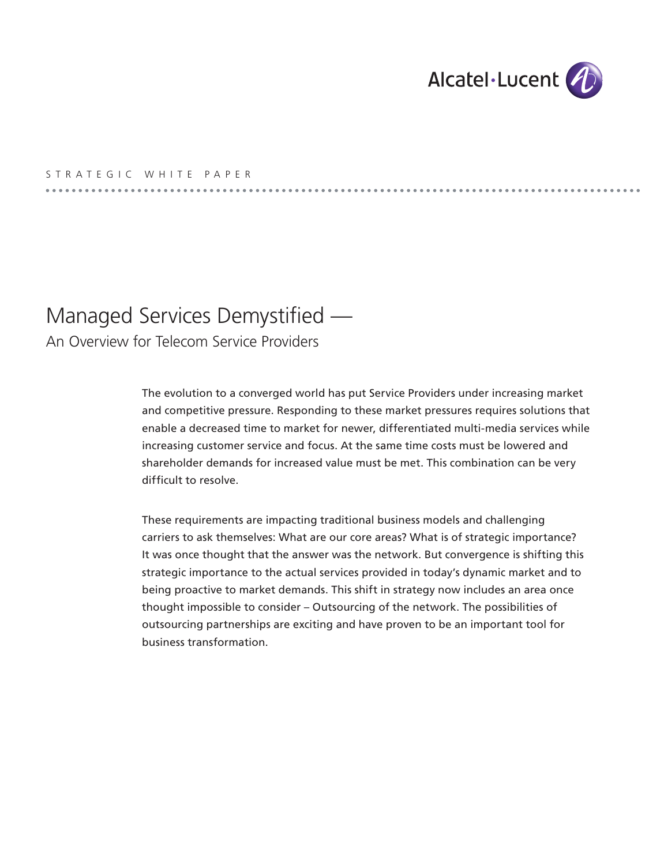

## S T R A T E G I C W H I T E P A P E R

# Managed Services Demystified —

An Overview for Telecom Service Providers

The evolution to a converged world has put Service Providers under increasing market and competitive pressure. Responding to these market pressures requires solutions that enable a decreased time to market for newer, differentiated multi-media services while increasing customer service and focus. At the same time costs must be lowered and shareholder demands for increased value must be met. This combination can be very difficult to resolve.

These requirements are impacting traditional business models and challenging carriers to ask themselves: What are our core areas? What is of strategic importance? It was once thought that the answer was the network. But convergence is shifting this strategic importance to the actual services provided in today's dynamic market and to being proactive to market demands. This shift in strategy now includes an area once thought impossible to consider – Outsourcing of the network. The possibilities of outsourcing partnerships are exciting and have proven to be an important tool for business transformation.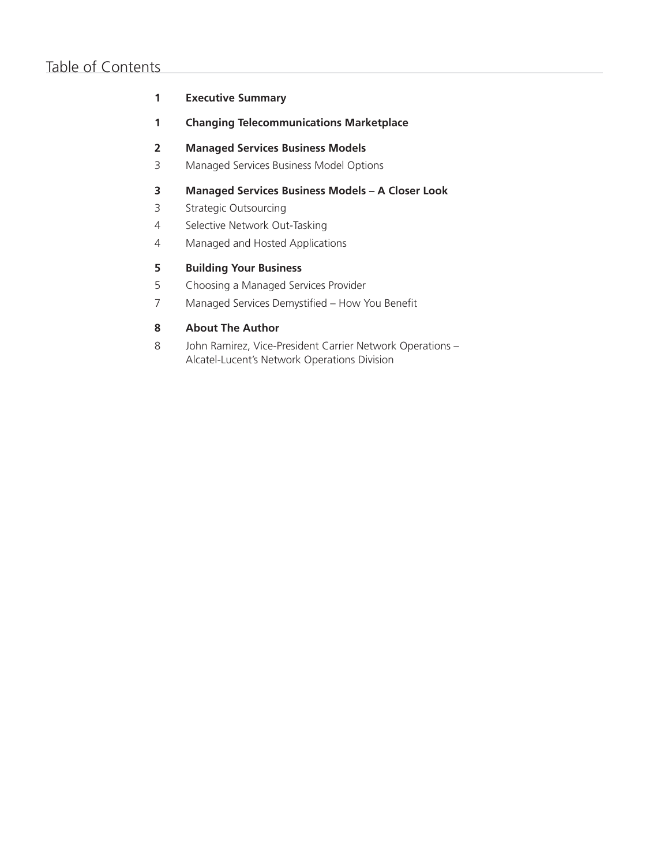# Table of Contents

### **1 Executive Summary**

**1 Changing Telecommunications Marketplace**

### **2 Managed Services Business Models**

3 Managed Services Business Model Options

### **3 Managed Services Business Models – A Closer Look**

- 3 Strategic Outsourcing
- 4 Selective Network Out-Tasking
- 4 Managed and Hosted Applications

### **5 Building Your Business**

- 5 Choosing a Managed Services Provider
- 7 Managed Services Demystified How You Benefit

### **8 About The Author**

8 John Ramirez, Vice-President Carrier Network Operations – Alcatel-Lucent's Network Operations Division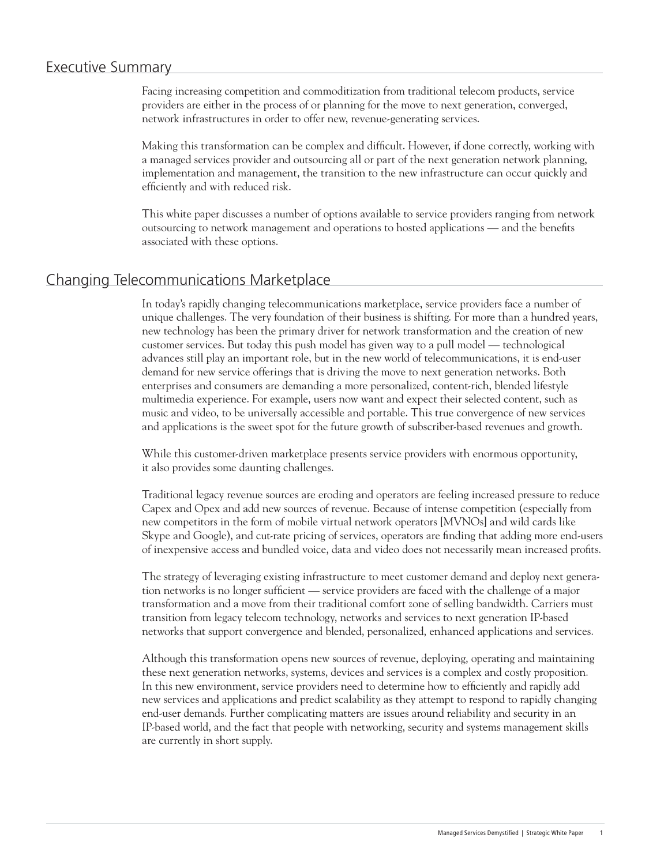### Executive Summary

Facing increasing competition and commoditization from traditional telecom products, service providers are either in the process of or planning for the move to next generation, converged, network infrastructures in order to offer new, revenue-generating services.

Making this transformation can be complex and difficult. However, if done correctly, working with a managed services provider and outsourcing all or part of the next generation network planning, implementation and management, the transition to the new infrastructure can occur quickly and efficiently and with reduced risk.

This white paper discusses a number of options available to service providers ranging from network outsourcing to network management and operations to hosted applications — and the benefits associated with these options.

### Changing Telecommunications Marketplace

In today's rapidly changing telecommunications marketplace, service providers face a number of unique challenges. The very foundation of their business is shifting. For more than a hundred years, new technology has been the primary driver for network transformation and the creation of new customer services. But today this push model has given way to a pull model — technological advances still play an important role, but in the new world of telecommunications, it is end-user demand for new service offerings that is driving the move to next generation networks. Both enterprises and consumers are demanding a more personalized, content-rich, blended lifestyle multimedia experience. For example, users now want and expect their selected content, such as music and video, to be universally accessible and portable. This true convergence of new services and applications is the sweet spot for the future growth of subscriber-based revenues and growth.

While this customer-driven marketplace presents service providers with enormous opportunity, it also provides some daunting challenges.

Traditional legacy revenue sources are eroding and operators are feeling increased pressure to reduce Capex and Opex and add new sources of revenue. Because of intense competition (especially from new competitors in the form of mobile virtual network operators [MVNOs] and wild cards like Skype and Google), and cut-rate pricing of services, operators are finding that adding more end-users of inexpensive access and bundled voice, data and video does not necessarily mean increased profits.

The strategy of leveraging existing infrastructure to meet customer demand and deploy next generation networks is no longer sufficient — service providers are faced with the challenge of a major transformation and a move from their traditional comfort zone of selling bandwidth. Carriers must transition from legacy telecom technology, networks and services to next generation IP-based networks that support convergence and blended, personalized, enhanced applications and services.

Although this transformation opens new sources of revenue, deploying, operating and maintaining these next generation networks, systems, devices and services is a complex and costly proposition. In this new environment, service providers need to determine how to efficiently and rapidly add new services and applications and predict scalability as they attempt to respond to rapidly changing end-user demands. Further complicating matters are issues around reliability and security in an IP-based world, and the fact that people with networking, security and systems management skills are currently in short supply.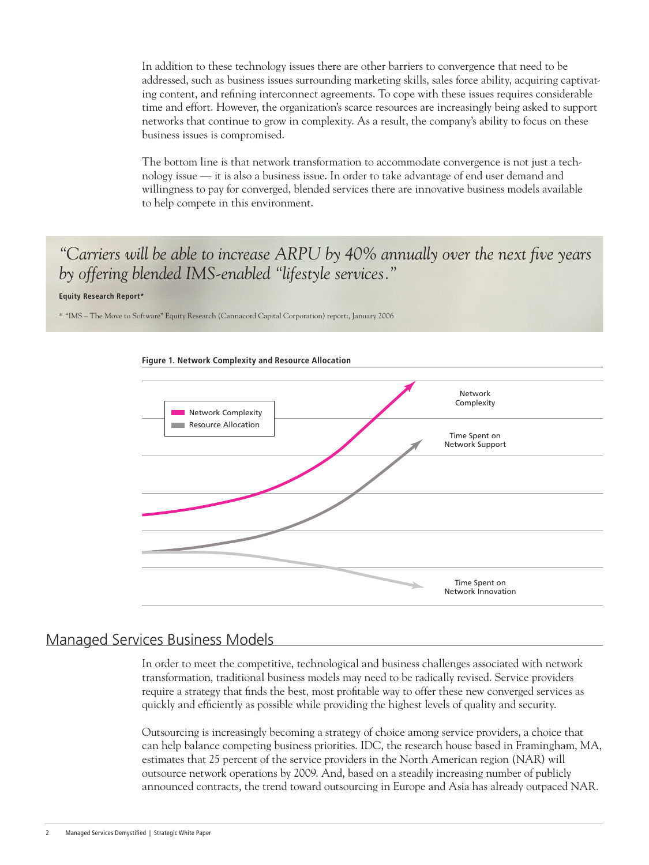In addition to these technology issues there are other barriers to convergence that need to be addressed, such as business issues surrounding marketing skills, sales force ability, acquiring captivating content, and refining interconnect agreements. To cope with these issues requires considerable time and effort. However, the organization's scarce resources are increasingly being asked to support networks that continue to grow in complexity. As a result, the company's ability to focus on these business issues is compromised.

The bottom line is that network transformation to accommodate convergence is not just a technology issue — it is also a business issue. In order to take advantage of end user demand and willingness to pay for converged, blended services there are innovative business models available to help compete in this environment.

# *"Carriers will be able to increase ARPU by 40% annually over the next five years by offering blended IMS-enabled "lifestyle services."*

#### **Equity Research Report\***

\* "IMS – The Move to Software" Equity Research (Cannacord Capital Corporation) report:, January 2006



# Managed Services Business Models

In order to meet the competitive, technological and business challenges associated with network transformation, traditional business models may need to be radically revised. Service providers require a strategy that finds the best, most profitable way to offer these new converged services as quickly and efficiently as possible while providing the highest levels of quality and security.

Outsourcing is increasingly becoming a strategy of choice among service providers, a choice that can help balance competing business priorities. IDC, the research house based in Framingham, MA, estimates that 25 percent of the service providers in the North American region (NAR) will outsource network operations by 2009. And, based on a steadily increasing number of publicly announced contracts, the trend toward outsourcing in Europe and Asia has already outpaced NAR.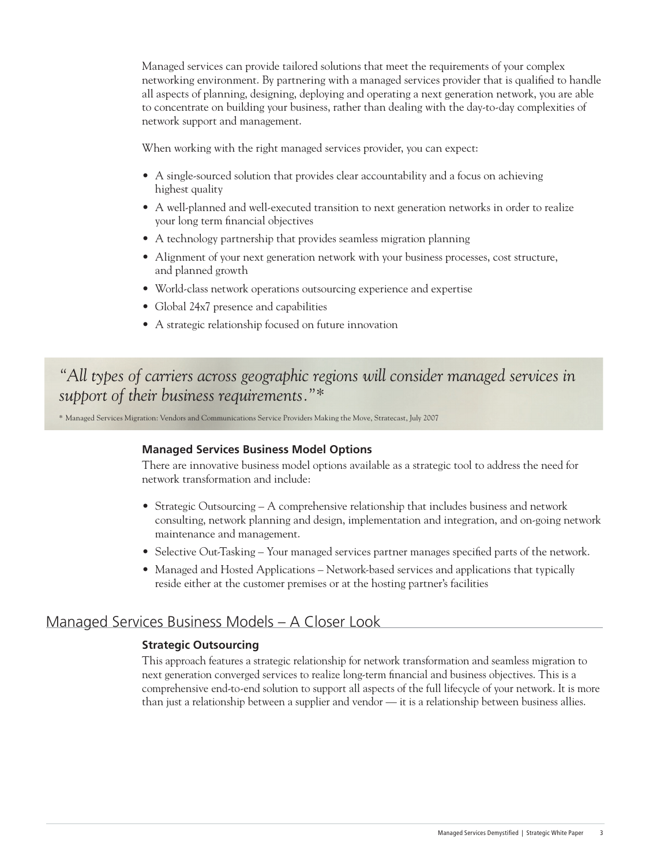Managed services can provide tailored solutions that meet the requirements of your complex networking environment. By partnering with a managed services provider that is qualified to handle all aspects of planning, designing, deploying and operating a next generation network, you are able to concentrate on building your business, rather than dealing with the day-to-day complexities of network support and management.

When working with the right managed services provider, you can expect:

- A single-sourced solution that provides clear accountability and a focus on achieving highest quality
- A well-planned and well-executed transition to next generation networks in order to realize your long term financial objectives
- A technology partnership that provides seamless migration planning
- Alignment of your next generation network with your business processes, cost structure, and planned growth
- World-class network operations outsourcing experience and expertise
- Global 24x7 presence and capabilities
- A strategic relationship focused on future innovation

*"All types of carriers across geographic regions will consider managed services in support of their business requirements."\**

\* Managed Services Migration: Vendors and Communications Service Providers Making the Move, Stratecast, July 2007

### **Managed Services Business Model Options**

There are innovative business model options available as a strategic tool to address the need for network transformation and include:

- Strategic Outsourcing A comprehensive relationship that includes business and network consulting, network planning and design, implementation and integration, and on-going network maintenance and management.
- Selective Out-Tasking Your managed services partner manages specified parts of the network.
- Managed and Hosted Applications Network-based services and applications that typically reside either at the customer premises or at the hosting partner's facilities

## Managed Services Business Models – A Closer Look

#### **Strategic Outsourcing**

This approach features a strategic relationship for network transformation and seamless migration to next generation converged services to realize long-term financial and business objectives. This is a comprehensive end-to-end solution to support all aspects of the full lifecycle of your network. It is more than just a relationship between a supplier and vendor — it is a relationship between business allies.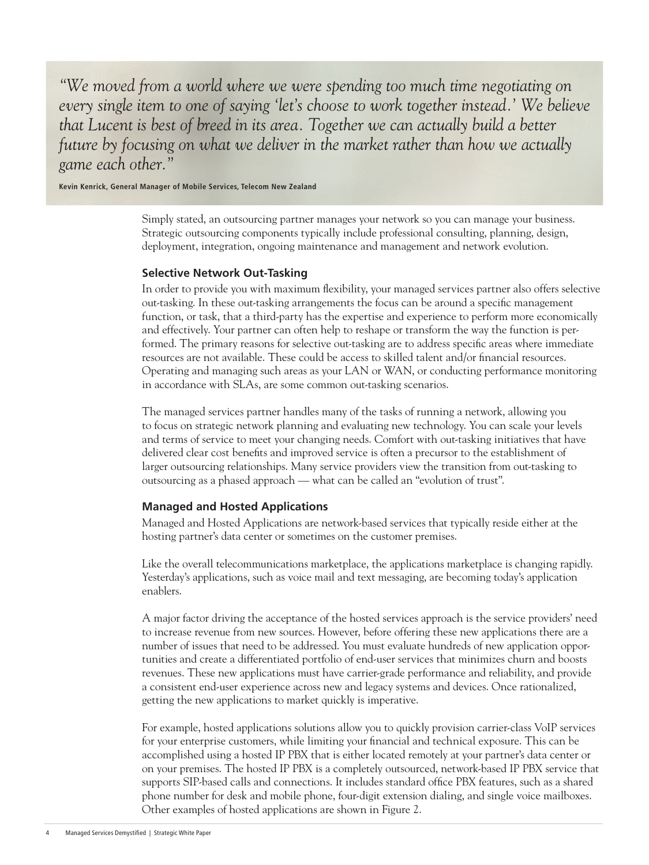*"We moved from a world where we were spending too much time negotiating on every single item to one of saying 'let's choose to work together instead.' We believe that Lucent is best of breed in its area. Together we can actually build a better future by focusing on what we deliver in the market rather than how we actually game each other."*

**Kevin Kenrick, General Manager of Mobile Services, Telecom New Zealand**

Simply stated, an outsourcing partner manages your network so you can manage your business. Strategic outsourcing components typically include professional consulting, planning, design, deployment, integration, ongoing maintenance and management and network evolution.

### **Selective Network Out-Tasking**

In order to provide you with maximum flexibility, your managed services partner also offers selective out-tasking. In these out-tasking arrangements the focus can be around a specific management function, or task, that a third-party has the expertise and experience to perform more economically and effectively. Your partner can often help to reshape or transform the way the function is performed. The primary reasons for selective out-tasking are to address specific areas where immediate resources are not available. These could be access to skilled talent and/or financial resources. Operating and managing such areas as your LAN or WAN, or conducting performance monitoring in accordance with SLAs, are some common out-tasking scenarios.

The managed services partner handles many of the tasks of running a network, allowing you to focus on strategic network planning and evaluating new technology. You can scale your levels and terms of service to meet your changing needs. Comfort with out-tasking initiatives that have delivered clear cost benefits and improved service is often a precursor to the establishment of larger outsourcing relationships. Many service providers view the transition from out-tasking to outsourcing as a phased approach — what can be called an "evolution of trust".

### **Managed and Hosted Applications**

Managed and Hosted Applications are network-based services that typically reside either at the hosting partner's data center or sometimes on the customer premises.

Like the overall telecommunications marketplace, the applications marketplace is changing rapidly. Yesterday's applications, such as voice mail and text messaging, are becoming today's application enablers.

A major factor driving the acceptance of the hosted services approach is the service providers' need to increase revenue from new sources. However, before offering these new applications there are a number of issues that need to be addressed. You must evaluate hundreds of new application opportunities and create a differentiated portfolio of end-user services that minimizes churn and boosts revenues. These new applications must have carrier-grade performance and reliability, and provide a consistent end-user experience across new and legacy systems and devices. Once rationalized, getting the new applications to market quickly is imperative.

For example, hosted applications solutions allow you to quickly provision carrier-class VoIP services for your enterprise customers, while limiting your financial and technical exposure. This can be accomplished using a hosted IP PBX that is either located remotely at your partner's data center or on your premises. The hosted IP PBX is a completely outsourced, network-based IP PBX service that supports SIP-based calls and connections. It includes standard office PBX features, such as a shared phone number for desk and mobile phone, four-digit extension dialing, and single voice mailboxes. Other examples of hosted applications are shown in Figure 2.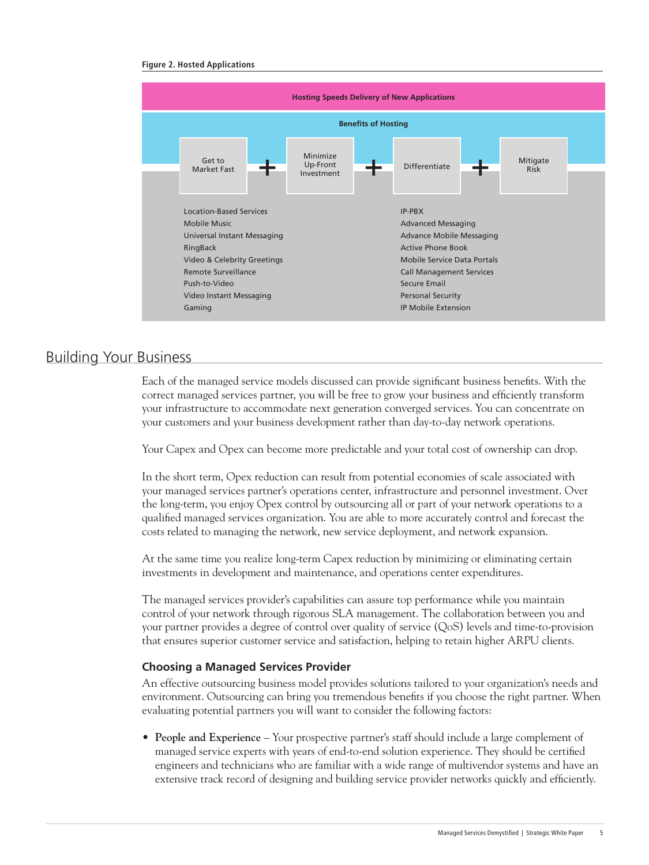#### **Figure 2. Hosted Applications**



### Building Your Business

Each of the managed service models discussed can provide significant business benefits. With the correct managed services partner, you will be free to grow your business and efficiently transform your infrastructure to accommodate next generation converged services. You can concentrate on your customers and your business development rather than day-to-day network operations.

Your Capex and Opex can become more predictable and your total cost of ownership can drop.

In the short term, Opex reduction can result from potential economies of scale associated with your managed services partner's operations center, infrastructure and personnel investment. Over the long-term, you enjoy Opex control by outsourcing all or part of your network operations to a qualified managed services organization. You are able to more accurately control and forecast the costs related to managing the network, new service deployment, and network expansion.

At the same time you realize long-term Capex reduction by minimizing or eliminating certain investments in development and maintenance, and operations center expenditures.

The managed services provider's capabilities can assure top performance while you maintain control of your network through rigorous SLA management. The collaboration between you and your partner provides a degree of control over quality of service (QoS) levels and time-to-provision that ensures superior customer service and satisfaction, helping to retain higher ARPU clients.

#### **Choosing a Managed Services Provider**

An effective outsourcing business model provides solutions tailored to your organization's needs and environment. Outsourcing can bring you tremendous benefits if you choose the right partner. When evaluating potential partners you will want to consider the following factors:

• **People and Experience** – Your prospective partner's staff should include a large complement of managed service experts with years of end-to-end solution experience. They should be certified engineers and technicians who are familiar with a wide range of multivendor systems and have an extensive track record of designing and building service provider networks quickly and efficiently.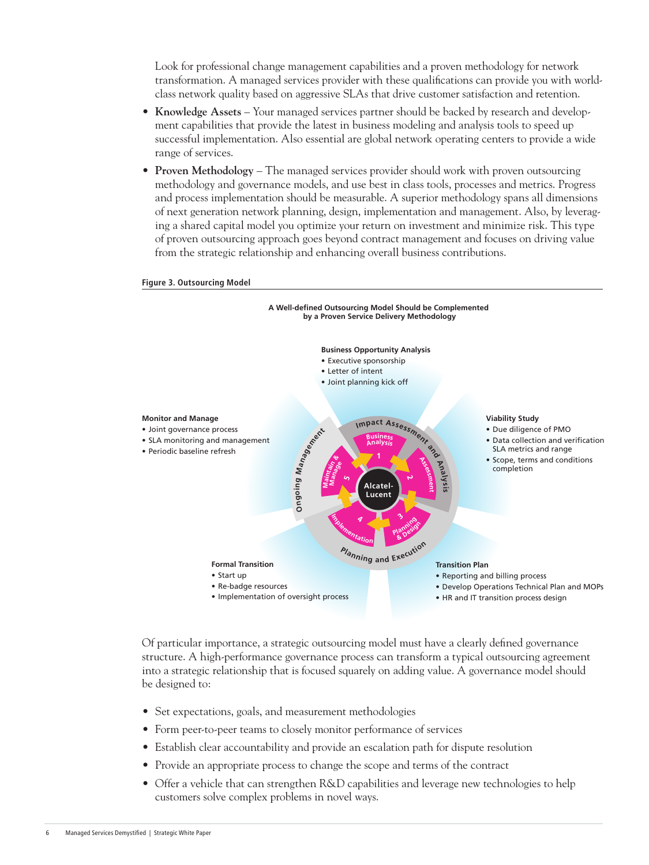Look for professional change management capabilities and a proven methodology for network transformation. A managed services provider with these qualifications can provide you with worldclass network quality based on aggressive SLAs that drive customer satisfaction and retention.

- **Knowledge Assets** Your managed services partner should be backed by research and development capabilities that provide the latest in business modeling and analysis tools to speed up successful implementation. Also essential are global network operating centers to provide a wide range of services.
- **Proven Methodology** The managed services provider should work with proven outsourcing methodology and governance models, and use best in class tools, processes and metrics. Progress and process implementation should be measurable. A superior methodology spans all dimensions of next generation network planning, design, implementation and management. Also, by leveraging a shared capital model you optimize your return on investment and minimize risk. This type of proven outsourcing approach goes beyond contract management and focuses on driving value from the strategic relationship and enhancing overall business contributions.



#### **Figure 3. Outsourcing Model**

Of particular importance, a strategic outsourcing model must have a clearly defined governance structure. A high-performance governance process can transform a typical outsourcing agreement into a strategic relationship that is focused squarely on adding value. A governance model should be designed to:

- Set expectations, goals, and measurement methodologies
- Form peer-to-peer teams to closely monitor performance of services
- Establish clear accountability and provide an escalation path for dispute resolution
- Provide an appropriate process to change the scope and terms of the contract
- Offer a vehicle that can strengthen R&D capabilities and leverage new technologies to help customers solve complex problems in novel ways.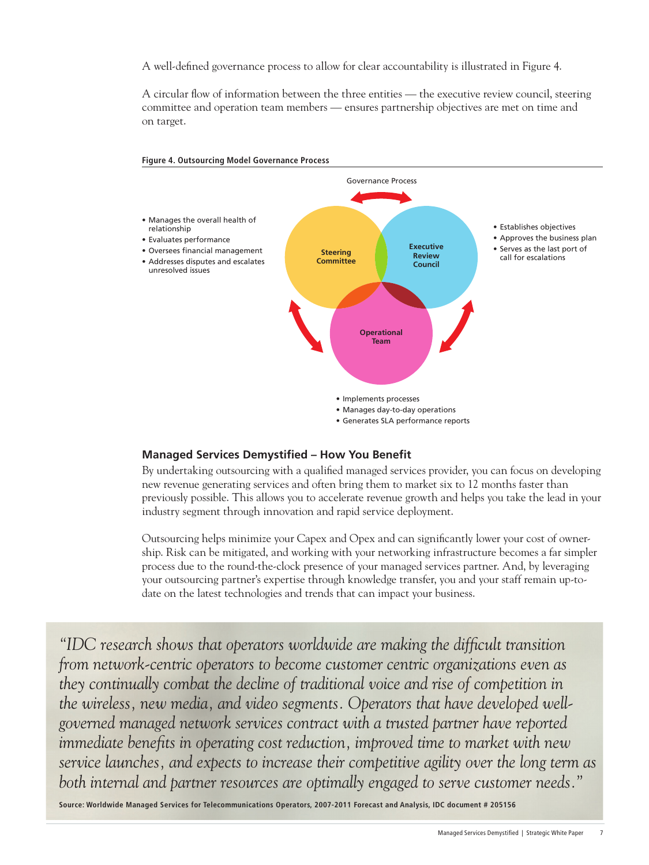A well-defined governance process to allow for clear accountability is illustrated in Figure 4.

A circular flow of information between the three entities — the executive review council, steering committee and operation team members — ensures partnership objectives are met on time and on target.



#### **Figure 4. Outsourcing Model Governance Process**

#### **Managed Services Demystified – How You Benefit**

By undertaking outsourcing with a qualified managed services provider, you can focus on developing new revenue generating services and often bring them to market six to 12 months faster than previously possible. This allows you to accelerate revenue growth and helps you take the lead in your industry segment through innovation and rapid service deployment.

Outsourcing helps minimize your Capex and Opex and can significantly lower your cost of ownership. Risk can be mitigated, and working with your networking infrastructure becomes a far simpler process due to the round-the-clock presence of your managed services partner. And, by leveraging your outsourcing partner's expertise through knowledge transfer, you and your staff remain up-todate on the latest technologies and trends that can impact your business.

*"IDC research shows that operators worldwide are making the difficult transition from network-centric operators to become customer centric organizations even as they continually combat the decline of traditional voice and rise of competition in the wireless, new media, and video segments. Operators that have developed wellgoverned managed network services contract with a trusted partner have reported immediate benefits in operating cost reduction, improved time to market with new service launches, and expects to increase their competitive agility over the long term as both internal and partner resources are optimally engaged to serve customer needs."*

**Source: Worldwide Managed Services for Telecommunications Operators, 2007-2011 Forecast and Analysis, IDC document # 205156**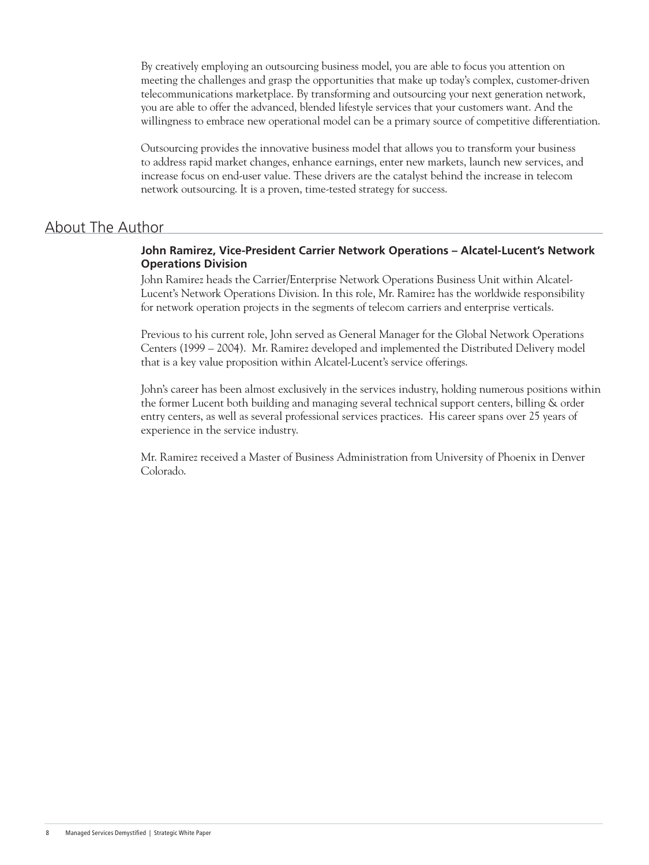By creatively employing an outsourcing business model, you are able to focus you attention on meeting the challenges and grasp the opportunities that make up today's complex, customer-driven telecommunications marketplace. By transforming and outsourcing your next generation network, you are able to offer the advanced, blended lifestyle services that your customers want. And the willingness to embrace new operational model can be a primary source of competitive differentiation.

Outsourcing provides the innovative business model that allows you to transform your business to address rapid market changes, enhance earnings, enter new markets, launch new services, and increase focus on end-user value. These drivers are the catalyst behind the increase in telecom network outsourcing. It is a proven, time-tested strategy for success.

### About The Author

### **John Ramirez, Vice-President Carrier Network Operations – Alcatel-Lucent's Network Operations Division**

John Ramirez heads the Carrier/Enterprise Network Operations Business Unit within Alcatel-Lucent's Network Operations Division. In this role, Mr. Ramirez has the worldwide responsibility for network operation projects in the segments of telecom carriers and enterprise verticals.

Previous to his current role, John served as General Manager for the Global Network Operations Centers (1999 – 2004). Mr. Ramirez developed and implemented the Distributed Delivery model that is a key value proposition within Alcatel-Lucent's service offerings.

John's career has been almost exclusively in the services industry, holding numerous positions within the former Lucent both building and managing several technical support centers, billing & order entry centers, as well as several professional services practices. His career spans over 25 years of experience in the service industry.

Mr. Ramirez received a Master of Business Administration from University of Phoenix in Denver Colorado.